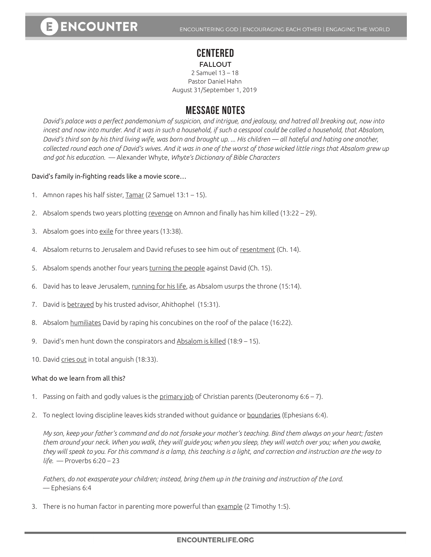## **CENTERED**

#### FALLOUT 2 Samuel 13 – 18 Pastor Daniel Hahn August 31/September 1, 2019

### **MESSAGE NOTES**

*David's palace was a perfect pandemonium of suspicion, and intrigue, and jealousy, and hatred all breaking out, now into incest and now into murder. And it was in such a household, if such a cesspool could be called a household, that Absalom, David's third son by his third living wife, was born and brought up. ... His children — all hateful and hating one another, collected round each one of David's wives. And it was in one of the worst of those wicked little rings that Absalom grew up and got his education.* — Alexander Whyte, *Whyte's Dictionary of Bible Characters* 

David's family in-fighting reads like a movie score…

- 1. Amnon rapes his half sister, Tamar (2 Samuel 13:1 15).
- 2. Absalom spends two years plotting revenge on Amnon and finally has him killed (13:22 29).
- 3. Absalom goes into exile for three years (13:38).
- 4. Absalom returns to Jerusalem and David refuses to see him out of resentment (Ch. 14).
- 5. Absalom spends another four years turning the people against David (Ch. 15).
- 6. David has to leave Jerusalem, running for his life, as Absalom usurps the throne (15:14).
- 7. David is betrayed by his trusted advisor, Ahithophel (15:31).
- 8. Absalom humiliates David by raping his concubines on the roof of the palace (16:22).
- 9. David's men hunt down the conspirators and Absalom is killed  $(18.9 15)$ .
- 10. David cries out in total anguish (18:33).

#### What do we learn from all this?

- 1. Passing on faith and godly values is the primary job of Christian parents (Deuteronomy 6:6 7).
- 2. To neglect loving discipline leaves kids stranded without guidance or boundaries (Ephesians 6:4).

*My son, keep your father's command and do not forsake your mother's teaching. Bind them always on your heart; fasten them around your neck. When you walk, they will guide you; when you sleep, they will watch over you; when you awake, they will speak to you. For this command is a lamp, this teaching is a light, and correction and instruction are the way to life.* — Proverbs 6:20 – 23

*Fathers, do not exasperate your children; instead, bring them up in the training and instruction of the Lord.*  — Ephesians 6:4

3. There is no human factor in parenting more powerful than example (2 Timothy 1:5).

#### **ENCOUNTERLIFE.ORG**